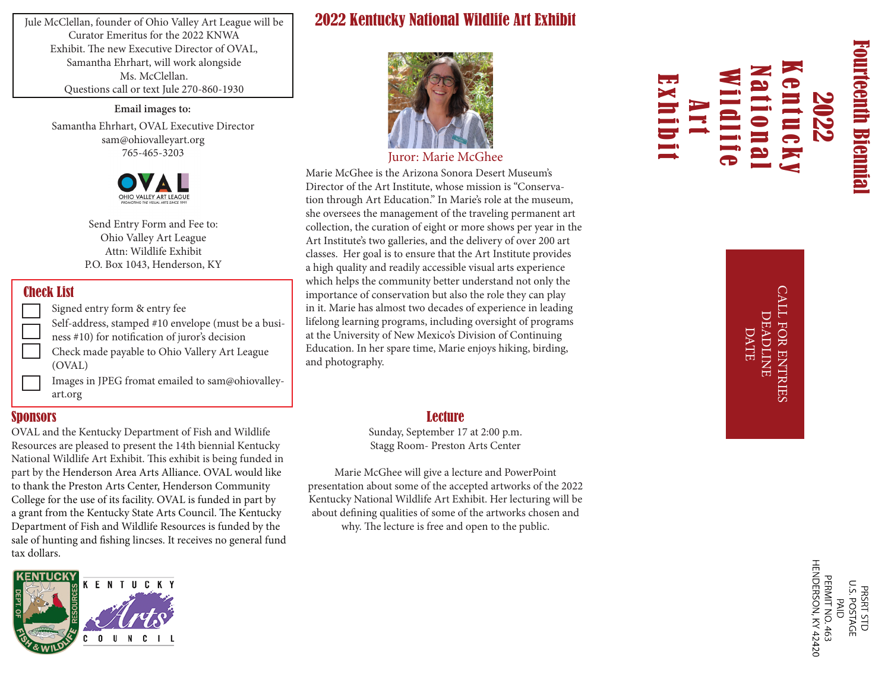Jule McClellan, founder of Ohio Valley Art League will be Curator Emeritus for the 2022 KNWA Exhibit. The new Executive Director of OVAL, Samantha Ehrhart, will work alongside Ms. McClellan. Questions call or text Jule 270-860-1930

> **Email images to:** Samantha Ehrhart, OVAL Executive Director sam@ohiovalleyart.org 765-465-3203



Send Entry Form and Fee to: Ohio Valley Art League Attn: Wildlife Exhibit P.O. Box 1043, Henderson, KY

#### Check List

Signed entry form & entry fee Images in JPEG fromat emailed to sam@ohiovalleyart.org Check made payable to Ohio Vallery Art League (OVAL) Self-address, stamped #10 envelope (must be a business #10) for notification of juror's decision

#### Sponsors

OVAL and the Kentucky Department of Fish and Wildlife Resources are pleased to present the 14th biennial Kentucky National Wildlife Art Exhibit. This exhibit is being funded in part by the Henderson Area Arts Alliance. OVAL would like to thank the Preston Arts Center, Henderson Community College for the use of its facility. OVAL is funded in part by a grant from the Kentucky State Arts Council. The Kentucky Department of Fish and Wildlife Resources is funded by the sale of hunting and fishing lincses. It receives no general fund tax dollars.



### 2022 Kentucky National Wildlife Art Exhibit



Juror: Marie McGhee

Marie McGhee is the Arizona Sonora Desert Museum's Director of the Art Institute, whose mission is "Conservation through Art Education." In Marie's role at the museum, she oversees the management of the traveling permanent art collection, the curation of eight or more shows per year in the Art Institute's two galleries, and the delivery of over 200 art classes. Her goal is to ensure that the Art Institute provides a high quality and readily accessible visual arts experience which helps the community better understand not only the importance of conservation but also the role they can play in it. Marie has almost two decades of experience in leading lifelong learning programs, including oversight of programs at the University of New Mexico's Division of Continuing Education. In her spare time, Marie enjoys hiking, birding, and photography.

#### **Lecture**

Sunday, September 17 at 2:00 p.m. Stagg Room- Preston Arts Center

Marie McGhee will give a lecture and PowerPoint presentation about some of the accepted artworks of the 2022 Kentucky National Wildlife Art Exhibit. Her lecturing will be about defining qualities of some of the artworks chosen and why. The lecture is free and open to the public.

# 2022 Wildlife National Kentucky Art Exhibit

Fourteenth Biennial

**Fourteenth Biennia** 

CALL FOR ENTRIES **LL FOR ENTRIES DEADLINE** DEADLINE DATE

> **PERMIT NO. 463<br>HENDERSON, KY 42420** PRSRT STD<br>U.S. POSTAGE **PAID**